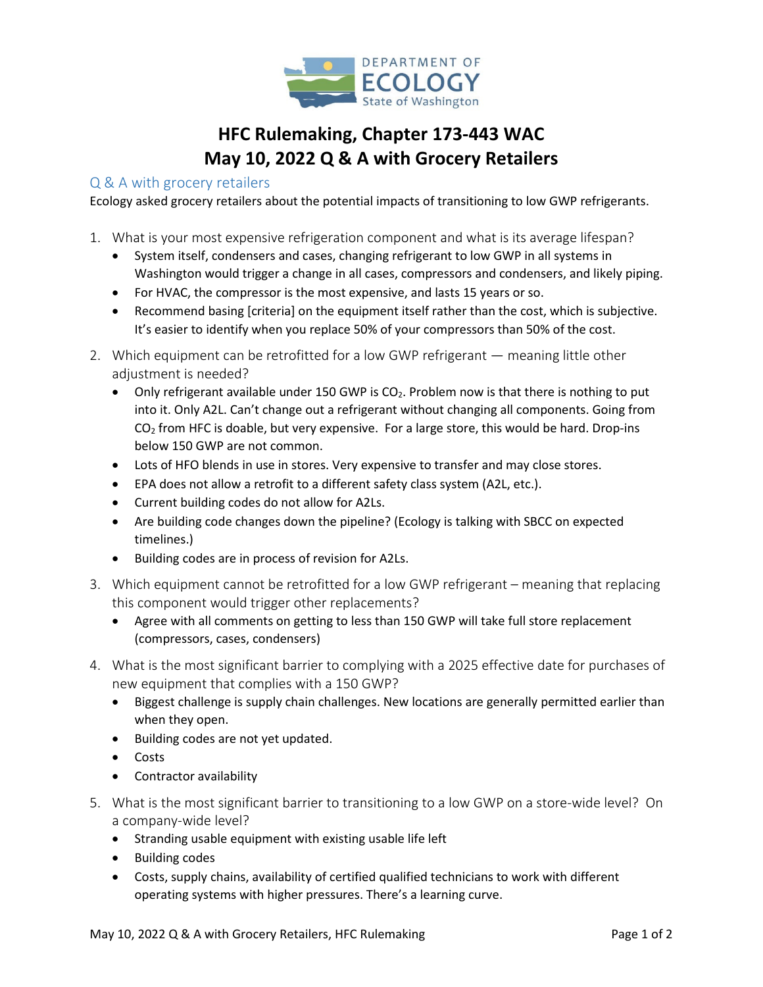

## **HFC Rulemaking, Chapter 173-443 WAC May 10, 2022 Q & A with Grocery Retailers**

## Q & A with grocery retailers

Ecology asked grocery retailers about the potential impacts of transitioning to low GWP refrigerants.

- 1. What is your most expensive refrigeration component and what is its average lifespan?
	- System itself, condensers and cases, changing refrigerant to low GWP in all systems in Washington would trigger a change in all cases, compressors and condensers, and likely piping.
	- For HVAC, the compressor is the most expensive, and lasts 15 years or so.
	- Recommend basing [criteria] on the equipment itself rather than the cost, which is subjective. It's easier to identify when you replace 50% of your compressors than 50% of the cost.
- 2. Which equipment can be retrofitted for a low GWP refrigerant meaning little other adjustment is needed?
	- Only refrigerant available under 150 GWP is CO<sub>2</sub>. Problem now is that there is nothing to put into it. Only A2L. Can't change out a refrigerant without changing all components. Going from  $CO<sub>2</sub>$  from HFC is doable, but very expensive. For a large store, this would be hard. Drop-ins below 150 GWP are not common.
	- Lots of HFO blends in use in stores. Very expensive to transfer and may close stores.
	- EPA does not allow a retrofit to a different safety class system (A2L, etc.).
	- Current building codes do not allow for A2Ls.
	- Are building code changes down the pipeline? (Ecology is talking with SBCC on expected timelines.)
	- Building codes are in process of revision for A2Ls.
- 3. Which equipment cannot be retrofitted for a low GWP refrigerant meaning that replacing this component would trigger other replacements?
	- Agree with all comments on getting to less than 150 GWP will take full store replacement (compressors, cases, condensers)
- 4. What is the most significant barrier to complying with a 2025 effective date for purchases of new equipment that complies with a 150 GWP?
	- Biggest challenge is supply chain challenges. New locations are generally permitted earlier than when they open.
	- Building codes are not yet updated.
	- Costs
	- Contractor availability
- 5. What is the most significant barrier to transitioning to a low GWP on a store-wide level? On a company-wide level?
	- Stranding usable equipment with existing usable life left
	- Building codes
	- Costs, supply chains, availability of certified qualified technicians to work with different operating systems with higher pressures. There's a learning curve.